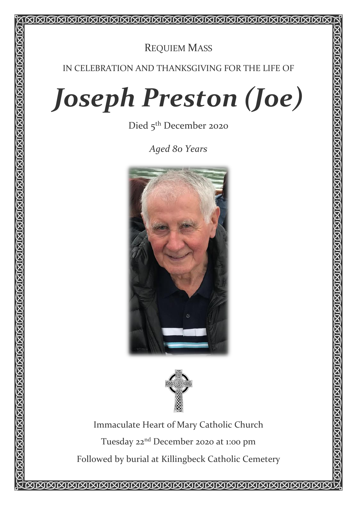REQUIEM MASS

IN CELEBRATION AND THANKSGIVING FOR THE LIFE OF

# *Joseph Preston (Joe)*

Died 5<sup>th</sup> December 2020

*Aged 80 Years*





Immaculate Heart of Mary Catholic Church Tuesday 22<sup>nd</sup> December 2020 at 1:00 pm Followed by burial at Killingbeck Catholic Cemetery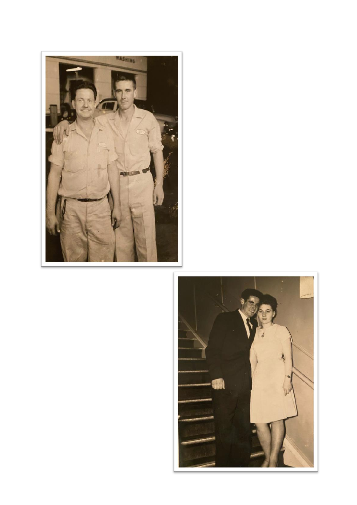

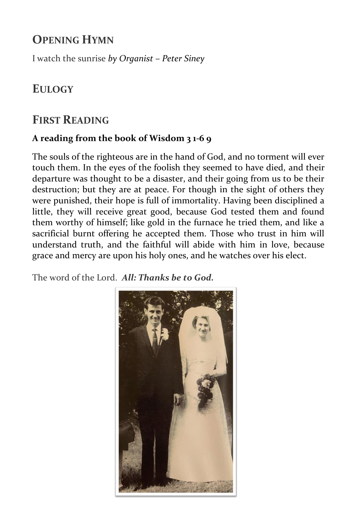# **OPENING HYMN**

I watch the sunrise *by Organist - Peter Siney* 

## **EULOGY**

#### **FIRST READING**

#### **A reading from the book of Wisdom 3 1-6 9**

The souls of the righteous are in the hand of God, and no torment will ever touch them. In the eyes of the foolish they seemed to have died, and their departure was thought to be a disaster, and their going from us to be their destruction; but they are at peace. For though in the sight of others they were punished, their hope is full of immortality. Having been disciplined a little, they will receive great good, because God tested them and found them worthy of himself; like gold in the furnace he tried them, and like a sacrificial burnt offering he accepted them. Those who trust in him will understand truth, and the faithful will abide with him in love, because grace and mercy are upon his holy ones, and he watches over his elect.

The word of the Lord. *All: Thanks be to God.*

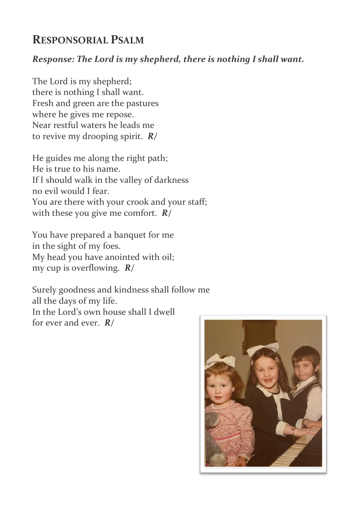#### **RESPONSORIAL PSALM**

#### *Response: The Lord is my shepherd, there is nothing I shall want.*

The Lord is my shepherd; there is nothing I shall want. Fresh and green are the pastures where he gives me repose. Near restful waters he leads me to revive my drooping spirit. *R/*

He guides me along the right path; He is true to his name. If I should walk in the valley of darkness no evil would I fear. You are there with your crook and your staff; with these you give me comfort. *R/*

You have prepared a banquet for me in the sight of my foes. My head you have anointed with oil; my cup is overflowing. *R/*

Surely goodness and kindness shall follow me all the days of my life. In the Lord's own house shall I dwell for ever and ever. *R/*

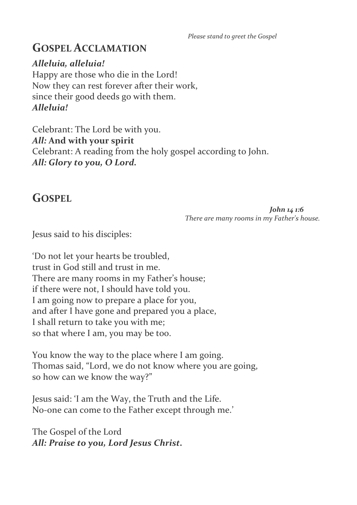*Please stand to greet the Gospel*

#### **GOSPEL ACCLAMATION**

#### *Alleluia, alleluia!*

Happy are those who die in the Lord! Now they can rest forever after their work, since their good deeds go with them. *Alleluia!*

Celebrant: The Lord be with you. *All:* **And with your spirit** Celebrant: A reading from the holy gospel according to John. *All: Glory to you, O Lord.*

### **GOSPEL**

*John 14 1:6 There are many rooms in my Father's house.*

Jesus said to his disciples:

'Do not let your hearts be troubled, trust in God still and trust in me. There are many rooms in my Father's house; if there were not, I should have told you. I am going now to prepare a place for you, and after I have gone and prepared you a place, I shall return to take you with me; so that where I am, you may be too.

You know the way to the place where I am going. Thomas said, "Lord, we do not know where you are going, so how can we know the way?"

Jesus said: 'I am the Way, the Truth and the Life. No-one can come to the Father except through me.'

The Gospel of the Lord *All: Praise to you, Lord Jesus Christ.*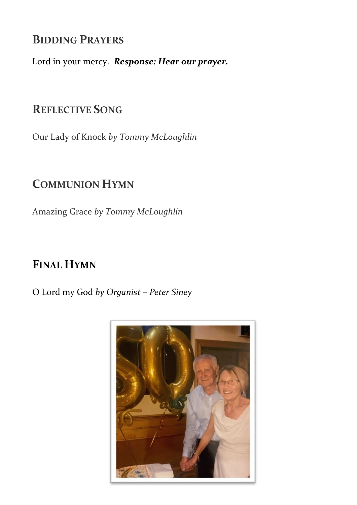### **BIDDING PRAYERS**

Lord in your mercy. *Response: Hear our prayer.*

#### **REFLECTIVE SONG**

Our Lady of Knock *by Tommy McLoughlin*

### **COMMUNION HYMN**

Amazing Grace *by Tommy McLoughlin*

#### **FINAL HYMN**

O Lord my God by Organist - Peter Siney

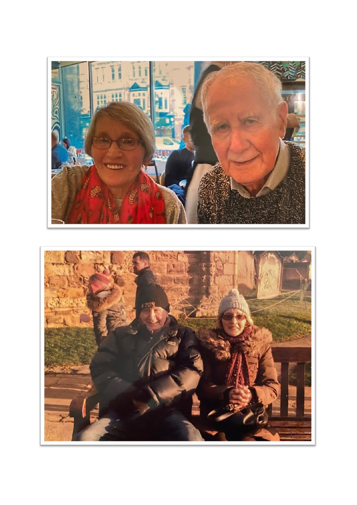